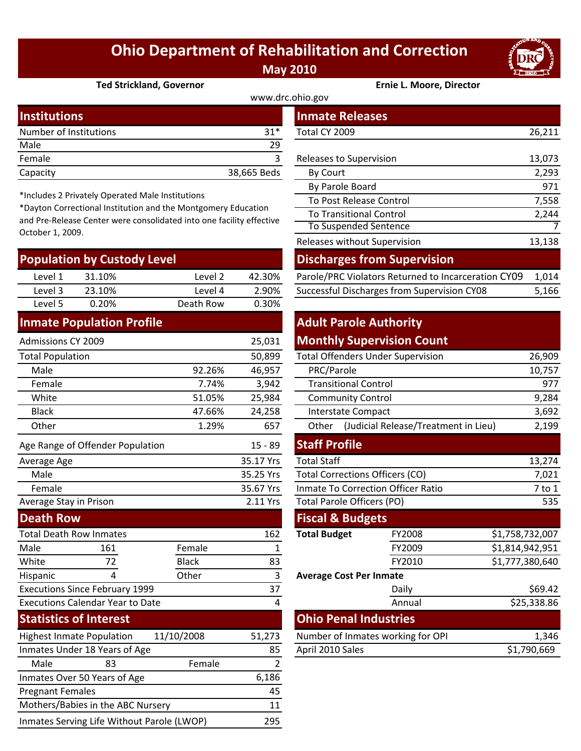# **Ohio Department of Rehabilitation and Correction May 2010**



**Ted Strickland, Governor Ernie L. Moore, Director**

| www.drc.ohio.gov       |             |                         |        |  |  |
|------------------------|-------------|-------------------------|--------|--|--|
| Institutions           |             | <b>Inmate Releases</b>  |        |  |  |
| Number of Institutions | $31*$       | Total CY 2009           | 26,211 |  |  |
| Male                   | 29          |                         |        |  |  |
| Female                 |             | Releases to Supervision | 13,073 |  |  |
| Capacity               | 38,665 Beds | By Court                | 2,293  |  |  |

\*Includes 2 Privately Operated Male Institutions

\*Dayton Correctional Institution and the Montgomery Education and Pre‐Release Center were consolidated into one facility effective October 1, 2009.

| <b>Population by Custody Level</b> |        |           |        | <b>Discharges from Supervision</b>                  |       |  |
|------------------------------------|--------|-----------|--------|-----------------------------------------------------|-------|--|
| Level 1                            | 31.10% | Level 2   | 42.30% | Parole/PRC Violators Returned to Incarceration CY09 | 1.014 |  |
| Level 3                            | 23.10% | Level 4   | 2.90%  | Successful Discharges from Supervision CY08         | 5,166 |  |
| Level 5                            | 0.20%  | Death Row | 0.30%  |                                                     |       |  |
|                                    |        |           |        |                                                     |       |  |

### **Inmate Population Profile**

| <b>Admissions CY 2009</b>               |                                  |              | 25,031           | <b>Monthly Supervision Count</b>              |                                          |                 |
|-----------------------------------------|----------------------------------|--------------|------------------|-----------------------------------------------|------------------------------------------|-----------------|
| <b>Total Population</b>                 |                                  |              | 50,899           |                                               | <b>Total Offenders Under Supervision</b> | 26,909          |
| Male                                    |                                  | 92.26%       | 46,957           | PRC/Parole                                    |                                          | 10,757          |
| Female                                  |                                  | 7.74%        | 3,942            | <b>Transitional Control</b>                   |                                          | 977             |
| White                                   |                                  | 51.05%       | 25,984           | <b>Community Control</b>                      |                                          | 9,284           |
| <b>Black</b>                            |                                  | 47.66%       | 24,258           | <b>Interstate Compact</b>                     |                                          | 3,692           |
| Other                                   |                                  | 1.29%        | 657              | (Judicial Release/Treatment in Lieu)<br>Other |                                          | 2,199           |
|                                         | Age Range of Offender Population |              | $15 - 89$        | <b>Staff Profile</b>                          |                                          |                 |
| Average Age                             |                                  |              | 35.17 Yrs        | <b>Total Staff</b>                            |                                          | 13,274          |
| Male                                    |                                  |              | 35.25 Yrs        | <b>Total Corrections Officers (CO)</b>        |                                          | 7,021           |
| Female                                  |                                  |              | 35.67 Yrs        | <b>Inmate To Correction Officer Ratio</b>     |                                          | 7 to 1          |
| Average Stay in Prison                  |                                  |              | 2.11 Yrs         | <b>Total Parole Officers (PO)</b>             |                                          | 535             |
| <b>Death Row</b>                        |                                  |              |                  | <b>Fiscal &amp; Budgets</b>                   |                                          |                 |
| <b>Total Death Row Inmates</b>          |                                  |              | 162              | <b>Total Budget</b>                           | FY2008                                   | \$1,758,732,007 |
| Male                                    | 161                              | Female       | 1                |                                               | FY2009                                   | \$1,814,942,951 |
| White                                   | 72                               | <b>Black</b> | 83               |                                               | FY2010                                   | \$1,777,380,640 |
| Hispanic                                | 4                                | Other        | 3                | <b>Average Cost Per Inmate</b>                |                                          |                 |
| <b>Executions Since February 1999</b>   |                                  | 37           |                  | Daily                                         | \$69.42                                  |                 |
| <b>Executions Calendar Year to Date</b> |                                  | 4            |                  | Annual                                        | \$25,338.86                              |                 |
| <b>Statistics of Interest</b>           |                                  |              |                  | <b>Ohio Penal Industries</b>                  |                                          |                 |
| <b>Highest Inmate Population</b>        |                                  | 11/10/2008   | 51,273           | Number of Inmates working for OPI             |                                          | 1,346           |
| Inmates Under 18 Years of Age           |                                  | 85           | April 2010 Sales |                                               | \$1,790,669                              |                 |
| Male                                    | 83                               | Female       | 2                |                                               |                                          |                 |
|                                         | Inmates Over 50 Years of Age     |              | 6,186            |                                               |                                          |                 |
| <b>Pregnant Females</b>                 |                                  | 45           |                  |                                               |                                          |                 |
| Mothers/Babies in the ABC Nursery       |                                  | 11           |                  |                                               |                                          |                 |

Inmates Serving Life Without Parole (LWOP) 295

| illullons                                                                                                                                                                                        |                           |         |             | inmate Releases                                     |        |  |
|--------------------------------------------------------------------------------------------------------------------------------------------------------------------------------------------------|---------------------------|---------|-------------|-----------------------------------------------------|--------|--|
| mber of Institutions<br>$31*$                                                                                                                                                                    |                           |         |             | Total CY 2009                                       | 26,211 |  |
| le                                                                                                                                                                                               |                           |         | 29          |                                                     |        |  |
| nale                                                                                                                                                                                             |                           |         | 3           | Releases to Supervision                             | 13,073 |  |
| acity                                                                                                                                                                                            |                           |         | 38,665 Beds | By Court                                            | 2,293  |  |
|                                                                                                                                                                                                  |                           |         |             | By Parole Board                                     | 971    |  |
| cludes 2 Privately Operated Male Institutions<br>yton Correctional Institution and the Montgomery Education<br>Pre-Release Center were consolidated into one facility effective<br>ober 1, 2009. |                           |         |             | To Post Release Control                             | 7,558  |  |
|                                                                                                                                                                                                  |                           |         |             | <b>To Transitional Control</b>                      | 2,244  |  |
|                                                                                                                                                                                                  |                           |         |             | To Suspended Sentence                               | 7      |  |
|                                                                                                                                                                                                  |                           |         |             | Releases without Supervision                        | 13,138 |  |
|                                                                                                                                                                                                  | pulation by Custody Level |         |             | <b>Discharges from Supervision</b>                  |        |  |
| Level 1                                                                                                                                                                                          | 31.10%                    | Level 2 | 42.30%      | Parole/PRC Violators Returned to Incarceration CY09 | 1,014  |  |
| Level 3                                                                                                                                                                                          | 23.10%                    | Level 4 | 2.90%       | Successful Discharges from Supervision CY08         | 5,166  |  |

## **Adult Parole Authority Monthly Supervision Count**

|                        | 50,899                              |                                           | <b>Total Offenders Under Supervision</b>      | 26,909          |  |
|------------------------|-------------------------------------|-------------------------------------------|-----------------------------------------------|-----------------|--|
| 92.26%                 | 46,957                              | PRC/Parole                                | 10,757                                        |                 |  |
| 7.74%                  | 3,942                               | <b>Transitional Control</b>               | 977                                           |                 |  |
| 51.05%                 | 25,984                              | <b>Community Control</b>                  | 9,284                                         |                 |  |
| 47.66%                 | 24,258                              | <b>Interstate Compact</b>                 | 3,692                                         |                 |  |
| 1.29%                  | 657                                 | Other                                     | (Judicial Release/Treatment in Lieu)<br>2,199 |                 |  |
|                        | $15 - 89$                           | <b>Staff Profile</b>                      |                                               |                 |  |
|                        | 35.17 Yrs                           | <b>Total Staff</b>                        |                                               | 13,274          |  |
|                        | 35.25 Yrs                           | <b>Total Corrections Officers (CO)</b>    | 7,021                                         |                 |  |
|                        | 35.67 Yrs                           | <b>Inmate To Correction Officer Ratio</b> | 7 to 1                                        |                 |  |
|                        | 2.11 Yrs                            | Total Parole Officers (PO)                | 535                                           |                 |  |
|                        |                                     | <b>Fiscal &amp; Budgets</b>               |                                               |                 |  |
|                        | 162                                 | <b>Total Budget</b>                       | FY2008                                        | \$1,758,732,007 |  |
| ale                    | 1                                   |                                           | FY2009                                        | \$1,814,942,951 |  |
| :k                     | 83                                  |                                           | FY2010                                        | \$1,777,380,640 |  |
| er                     | 3<br><b>Average Cost Per Inmate</b> |                                           |                                               |                 |  |
|                        | 37                                  |                                           | Daily                                         | \$69.42         |  |
|                        | 4                                   |                                           | Annual                                        | \$25,338.86     |  |
|                        |                                     |                                           | <b>Ohio Penal Industries</b>                  |                 |  |
| 08                     | 51,273                              | Number of Inmates working for OPI         | 1,346                                         |                 |  |
| April 2010 Sales<br>85 |                                     |                                           | \$1,790,669                                   |                 |  |
|                        |                                     |                                           |                                               |                 |  |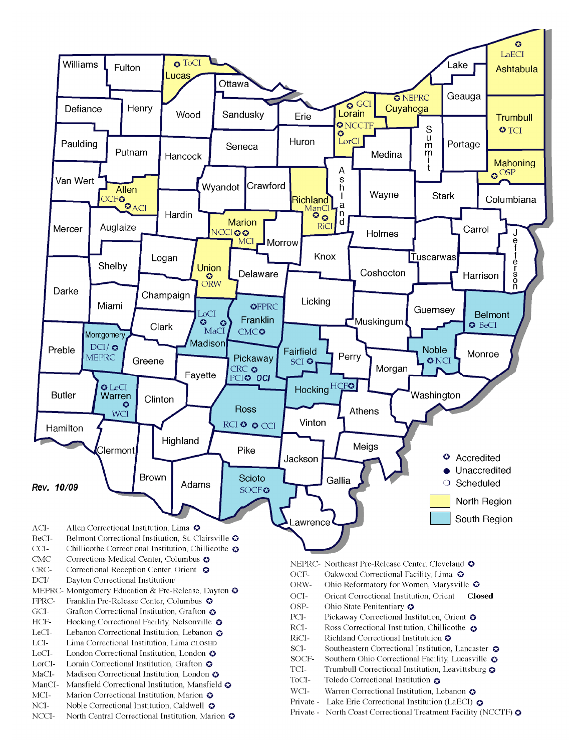